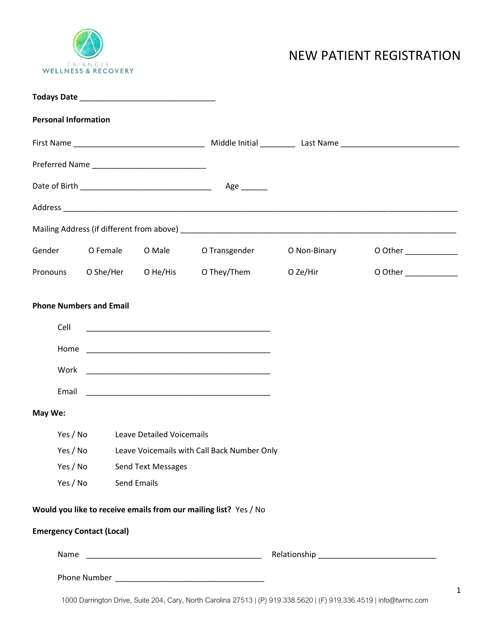

## NEW PATIENT REGISTRATION

| <b>Personal Information</b>              |                                             |                                                 |                                                                                                                        |                                                                                                                     |                       |
|------------------------------------------|---------------------------------------------|-------------------------------------------------|------------------------------------------------------------------------------------------------------------------------|---------------------------------------------------------------------------------------------------------------------|-----------------------|
|                                          |                                             |                                                 |                                                                                                                        |                                                                                                                     |                       |
|                                          |                                             |                                                 |                                                                                                                        |                                                                                                                     |                       |
|                                          |                                             |                                                 | Age _______                                                                                                            |                                                                                                                     |                       |
|                                          |                                             |                                                 |                                                                                                                        |                                                                                                                     |                       |
|                                          |                                             |                                                 |                                                                                                                        |                                                                                                                     |                       |
|                                          |                                             |                                                 | Gender OFemale OMale OTransgender                                                                                      | O Non-Binary                                                                                                        | 0 Other ____________  |
|                                          |                                             |                                                 |                                                                                                                        | Pronouns O She/Her O He/His O They/Them O Ze/Hir                                                                    | O Other _____________ |
| Cell<br>Home<br>Work<br>Email<br>May We: |                                             |                                                 | <u> 1989 - Johann John Stone, mars et al. 1989 - John Stone, mars et al. 1989 - John Stone, mars et al. 1989 - Joh</u> |                                                                                                                     |                       |
| Yes / No                                 | <b>Leave Detailed Voicemails</b>            |                                                 |                                                                                                                        |                                                                                                                     |                       |
| Yes / No                                 | Leave Voicemails with Call Back Number Only |                                                 |                                                                                                                        |                                                                                                                     |                       |
| Yes / No<br>Yes / No                     |                                             | <b>Send Text Messages</b><br><b>Send Emails</b> |                                                                                                                        |                                                                                                                     |                       |
|                                          |                                             |                                                 | Would you like to receive emails from our mailing list? Yes / No                                                       |                                                                                                                     |                       |
| <b>Emergency Contact (Local)</b>         |                                             |                                                 |                                                                                                                        |                                                                                                                     |                       |
| Name                                     |                                             |                                                 |                                                                                                                        |                                                                                                                     |                       |
|                                          |                                             |                                                 |                                                                                                                        |                                                                                                                     |                       |
|                                          |                                             |                                                 |                                                                                                                        | 1000 Darrington Drive, Suite 204, Cary, North Carolina 27513   (P) 919.338.5620   (F) 919.336.4519   info@twrnc.com |                       |